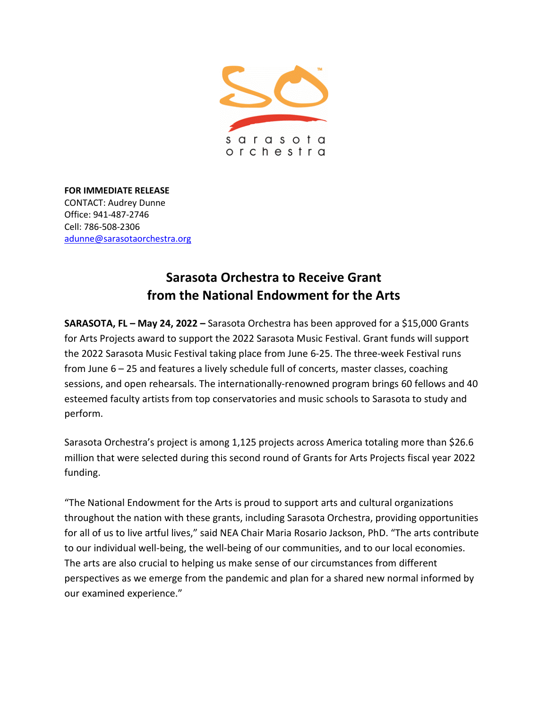

**FOR IMMEDIATE RELEASE** CONTACT: Audrey Dunne Office: 941-487-2746 Cell: 786-508-2306 [adunne@sarasotaorchestra.org](mailto:adunne@sarasotaorchestra.org)

## **Sarasota Orchestra to Receive Grant from the National Endowment for the Arts**

**SARASOTA, FL – May 24, 2022 –** Sarasota Orchestra has been approved for a \$15,000 Grants for Arts Projects award to support the 2022 Sarasota Music Festival. Grant funds will support the 2022 Sarasota Music Festival taking place from June 6-25. The three-week Festival runs from June 6 – 25 and features a lively schedule full of concerts, master classes, coaching sessions, and open rehearsals. The internationally-renowned program brings 60 fellows and 40 esteemed faculty artists from top conservatories and music schools to Sarasota to study and perform.

Sarasota Orchestra's project is among 1,125 projects across America totaling more than \$26.6 million that were selected during this second round of Grants for Arts Projects fiscal year 2022 funding.

"The National Endowment for the Arts is proud to support arts and cultural organizations throughout the nation with these grants, including Sarasota Orchestra, providing opportunities for all of us to live artful lives," said NEA Chair Maria Rosario Jackson, PhD. "The arts contribute to our individual well-being, the well-being of our communities, and to our local economies. The arts are also crucial to helping us make sense of our circumstances from different perspectives as we emerge from the pandemic and plan for a shared new normal informed by our examined experience."